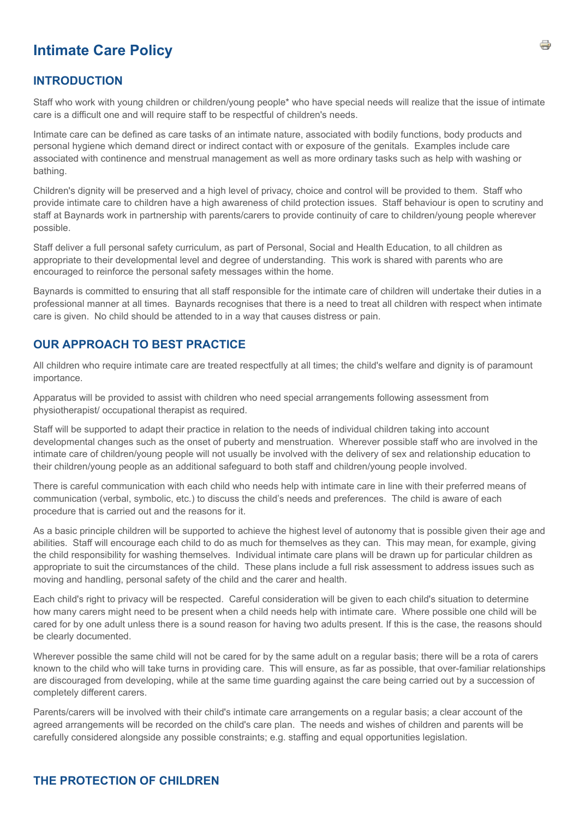## **Intimate Care Policy**

## **INTRODUCTION**

Staff who work with young children or children/young people\* who have special needs will realize that the issue of intimate care is a difficult one and will require staff to be respectful of children's needs.

Intimate care can be defined as care tasks of an intimate nature, associated with bodily functions, body products and personal hygiene which demand direct or indirect contact with or exposure of the genitals. Examples include care associated with continence and menstrual management as well as more ordinary tasks such as help with washing or bathing.

Children's dignity will be preserved and a high level of privacy, choice and control will be provided to them. Staff who provide intimate care to children have a high awareness of child protection issues. Staff behaviour is open to scrutiny and staff at Baynards work in partnership with parents/carers to provide continuity of care to children/young people wherever possible.

Staff deliver a full personal safety curriculum, as part of Personal, Social and Health Education, to all children as appropriate to their developmental level and degree of understanding. This work is shared with parents who are encouraged to reinforce the personal safety messages within the home.

Baynards is committed to ensuring that all staff responsible for the intimate care of children will undertake their duties in a professional manner at all times. Baynards recognises that there is a need to treat all children with respect when intimate care is given. No child should be attended to in a way that causes distress or pain.

## **OUR APPROACH TO BEST PRACTICE**

All children who require intimate care are treated respectfully at all times; the child's welfare and dignity is of paramount importance.

Apparatus will be provided to assist with children who need special arrangements following assessment from physiotherapist/ occupational therapist as required.

Staff will be supported to adapt their practice in relation to the needs of individual children taking into account developmental changes such as the onset of puberty and menstruation. Wherever possible staff who are involved in the intimate care of children/young people will not usually be involved with the delivery of sex and relationship education to their children/young people as an additional safeguard to both staff and children/young people involved.

There is careful communication with each child who needs help with intimate care in line with their preferred means of communication (verbal, symbolic, etc.) to discuss the child's needs and preferences. The child is aware of each procedure that is carried out and the reasons for it.

As a basic principle children will be supported to achieve the highest level of autonomy that is possible given their age and abilities. Staff will encourage each child to do as much for themselves as they can. This may mean, for example, giving the child responsibility for washing themselves. Individual intimate care plans will be drawn up for particular children as appropriate to suit the circumstances of the child. These plans include a full risk assessment to address issues such as moving and handling, personal safety of the child and the carer and health.

Each child's right to privacy will be respected. Careful consideration will be given to each child's situation to determine how many carers might need to be present when a child needs help with intimate care. Where possible one child will be cared for by one adult unless there is a sound reason for having two adults present. If this is the case, the reasons should be clearly documented.

Wherever possible the same child will not be cared for by the same adult on a regular basis; there will be a rota of carers known to the child who will take turns in providing care. This will ensure, as far as possible, that over-familiar relationships are discouraged from developing, while at the same time guarding against the care being carried out by a succession of completely different carers.

Parents/carers will be involved with their child's intimate care arrangements on a regular basis; a clear account of the agreed arrangements will be recorded on the child's care plan. The needs and wishes of children and parents will be carefully considered alongside any possible constraints; e.g. staffing and equal opportunities legislation.

## **THE PROTECTION OF CHILDREN**